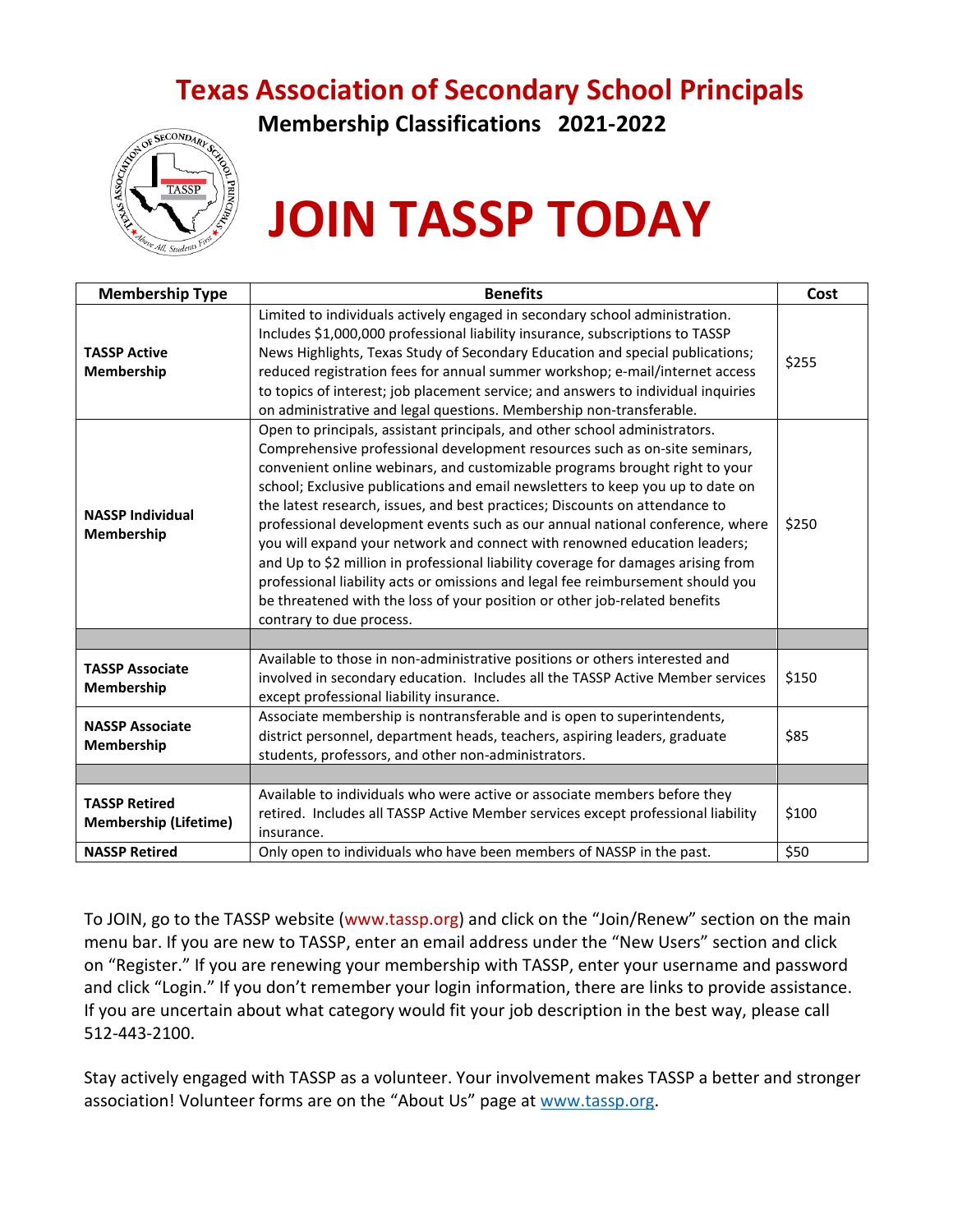# **Texas Association of Secondary School Principals**



**Membership Classifications 2021-2022**

# **JOIN TASSP TODAY**

| <b>Membership Type</b>                               | <b>Benefits</b>                                                                                                                                                                                                                                                                                                                                                                                                                                                                                                                                                                                                                                                                                                                                                                                                                                          | Cost  |
|------------------------------------------------------|----------------------------------------------------------------------------------------------------------------------------------------------------------------------------------------------------------------------------------------------------------------------------------------------------------------------------------------------------------------------------------------------------------------------------------------------------------------------------------------------------------------------------------------------------------------------------------------------------------------------------------------------------------------------------------------------------------------------------------------------------------------------------------------------------------------------------------------------------------|-------|
| <b>TASSP Active</b><br>Membership                    | Limited to individuals actively engaged in secondary school administration.<br>Includes \$1,000,000 professional liability insurance, subscriptions to TASSP<br>News Highlights, Texas Study of Secondary Education and special publications;<br>reduced registration fees for annual summer workshop; e-mail/internet access<br>to topics of interest; job placement service; and answers to individual inquiries<br>on administrative and legal questions. Membership non-transferable.                                                                                                                                                                                                                                                                                                                                                                | \$255 |
| <b>NASSP Individual</b><br>Membership                | Open to principals, assistant principals, and other school administrators.<br>Comprehensive professional development resources such as on-site seminars,<br>convenient online webinars, and customizable programs brought right to your<br>school; Exclusive publications and email newsletters to keep you up to date on<br>the latest research, issues, and best practices; Discounts on attendance to<br>professional development events such as our annual national conference, where<br>you will expand your network and connect with renowned education leaders;<br>and Up to \$2 million in professional liability coverage for damages arising from<br>professional liability acts or omissions and legal fee reimbursement should you<br>be threatened with the loss of your position or other job-related benefits<br>contrary to due process. | \$250 |
|                                                      |                                                                                                                                                                                                                                                                                                                                                                                                                                                                                                                                                                                                                                                                                                                                                                                                                                                          |       |
| <b>TASSP Associate</b><br>Membership                 | Available to those in non-administrative positions or others interested and<br>involved in secondary education. Includes all the TASSP Active Member services<br>except professional liability insurance.                                                                                                                                                                                                                                                                                                                                                                                                                                                                                                                                                                                                                                                | \$150 |
| <b>NASSP Associate</b><br>Membership                 | Associate membership is nontransferable and is open to superintendents,<br>district personnel, department heads, teachers, aspiring leaders, graduate<br>students, professors, and other non-administrators.                                                                                                                                                                                                                                                                                                                                                                                                                                                                                                                                                                                                                                             | \$85  |
|                                                      |                                                                                                                                                                                                                                                                                                                                                                                                                                                                                                                                                                                                                                                                                                                                                                                                                                                          |       |
| <b>TASSP Retired</b><br><b>Membership (Lifetime)</b> | Available to individuals who were active or associate members before they<br>retired. Includes all TASSP Active Member services except professional liability<br>insurance.                                                                                                                                                                                                                                                                                                                                                                                                                                                                                                                                                                                                                                                                              | \$100 |
| <b>NASSP Retired</b>                                 | Only open to individuals who have been members of NASSP in the past.                                                                                                                                                                                                                                                                                                                                                                                                                                                                                                                                                                                                                                                                                                                                                                                     | \$50  |

To JOIN, go to the TASSP website [\(www.tassp.org\)](http://www.tassp.org/) and click on the "Join/Renew" section on the main menu bar. If you are new to TASSP, enter an email address under the "New Users" section and click on "Register." If you are renewing your membership with TASSP, enter your username and password and click "Login." If you don't remember your login information, there are links to provide assistance. If you are uncertain about what category would fit your job description in the best way, please call 512-443-2100.

Stay actively engaged with TASSP as a volunteer. Your involvement makes TASSP a better and stronger association! Volunteer forms are on the "About Us" page at [www.tassp.org.](http://www.tassp.org/)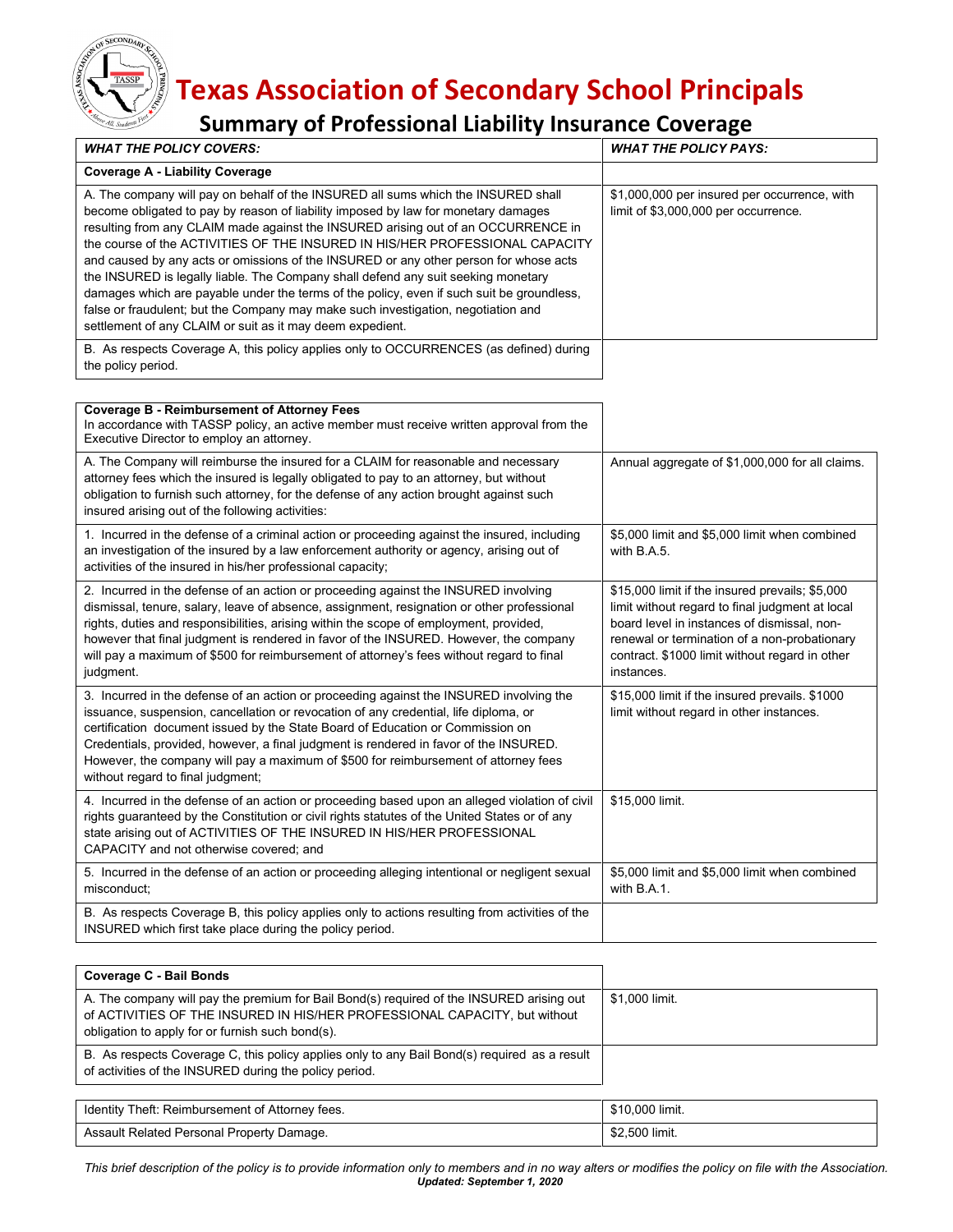# **Texas Association of Secondary School Principals**

## **Summary of Professional Liability Insurance Coverage**

**SECONDAR** 

| <b>WHAT THE POLICY COVERS:</b>                                                                                                                                                                                                                                                                                                                                                                                                                                                                                                                                                                                                                                                                                                                                            | <b>WHAT THE POLICY PAYS:</b>                                                                                                                                                                                                                                      |
|---------------------------------------------------------------------------------------------------------------------------------------------------------------------------------------------------------------------------------------------------------------------------------------------------------------------------------------------------------------------------------------------------------------------------------------------------------------------------------------------------------------------------------------------------------------------------------------------------------------------------------------------------------------------------------------------------------------------------------------------------------------------------|-------------------------------------------------------------------------------------------------------------------------------------------------------------------------------------------------------------------------------------------------------------------|
| <b>Coverage A - Liability Coverage</b>                                                                                                                                                                                                                                                                                                                                                                                                                                                                                                                                                                                                                                                                                                                                    |                                                                                                                                                                                                                                                                   |
| A. The company will pay on behalf of the INSURED all sums which the INSURED shall<br>become obligated to pay by reason of liability imposed by law for monetary damages<br>resulting from any CLAIM made against the INSURED arising out of an OCCURRENCE in<br>the course of the ACTIVITIES OF THE INSURED IN HIS/HER PROFESSIONAL CAPACITY<br>and caused by any acts or omissions of the INSURED or any other person for whose acts<br>the INSURED is legally liable. The Company shall defend any suit seeking monetary<br>damages which are payable under the terms of the policy, even if such suit be groundless,<br>false or fraudulent; but the Company may make such investigation, negotiation and<br>settlement of any CLAIM or suit as it may deem expedient. | \$1,000,000 per insured per occurrence, with<br>limit of \$3,000,000 per occurrence.                                                                                                                                                                              |
| B. As respects Coverage A, this policy applies only to OCCURRENCES (as defined) during<br>the policy period.                                                                                                                                                                                                                                                                                                                                                                                                                                                                                                                                                                                                                                                              |                                                                                                                                                                                                                                                                   |
|                                                                                                                                                                                                                                                                                                                                                                                                                                                                                                                                                                                                                                                                                                                                                                           |                                                                                                                                                                                                                                                                   |
| <b>Coverage B - Reimbursement of Attorney Fees</b><br>In accordance with TASSP policy, an active member must receive written approval from the<br>Executive Director to employ an attorney.                                                                                                                                                                                                                                                                                                                                                                                                                                                                                                                                                                               |                                                                                                                                                                                                                                                                   |
| A. The Company will reimburse the insured for a CLAIM for reasonable and necessary<br>attorney fees which the insured is legally obligated to pay to an attorney, but without<br>obligation to furnish such attorney, for the defense of any action brought against such<br>insured arising out of the following activities:                                                                                                                                                                                                                                                                                                                                                                                                                                              | Annual aggregate of \$1,000,000 for all claims.                                                                                                                                                                                                                   |
| 1. Incurred in the defense of a criminal action or proceeding against the insured, including<br>an investigation of the insured by a law enforcement authority or agency, arising out of<br>activities of the insured in his/her professional capacity;                                                                                                                                                                                                                                                                                                                                                                                                                                                                                                                   | \$5,000 limit and \$5,000 limit when combined<br>with B.A.5.                                                                                                                                                                                                      |
| 2. Incurred in the defense of an action or proceeding against the INSURED involving<br>dismissal, tenure, salary, leave of absence, assignment, resignation or other professional<br>rights, duties and responsibilities, arising within the scope of employment, provided,<br>however that final judgment is rendered in favor of the INSURED. However, the company<br>will pay a maximum of \$500 for reimbursement of attorney's fees without regard to final<br>judgment.                                                                                                                                                                                                                                                                                             | \$15,000 limit if the insured prevails; \$5,000<br>limit without regard to final judgment at local<br>board level in instances of dismissal, non-<br>renewal or termination of a non-probationary<br>contract. \$1000 limit without regard in other<br>instances. |
| 3. Incurred in the defense of an action or proceeding against the INSURED involving the<br>issuance, suspension, cancellation or revocation of any credential, life diploma, or<br>certification document issued by the State Board of Education or Commission on<br>Credentials, provided, however, a final judgment is rendered in favor of the INSURED.<br>However, the company will pay a maximum of \$500 for reimbursement of attorney fees<br>without regard to final judgment;                                                                                                                                                                                                                                                                                    | \$15,000 limit if the insured prevails. \$1000<br>limit without regard in other instances.                                                                                                                                                                        |
| 4. Incurred in the defense of an action or proceeding based upon an alleged violation of civil<br>rights guaranteed by the Constitution or civil rights statutes of the United States or of any<br>state arising out of ACTIVITIES OF THE INSURED IN HIS/HER PROFESSIONAL<br>CAPACITY and not otherwise covered; and                                                                                                                                                                                                                                                                                                                                                                                                                                                      | \$15,000 limit.                                                                                                                                                                                                                                                   |
| 5. Incurred in the defense of an action or proceeding alleging intentional or negligent sexual<br>misconduct;                                                                                                                                                                                                                                                                                                                                                                                                                                                                                                                                                                                                                                                             | \$5,000 limit and \$5,000 limit when combined<br>with B.A.1.                                                                                                                                                                                                      |
| B. As respects Coverage B, this policy applies only to actions resulting from activities of the<br>INSURED which first take place during the policy period.                                                                                                                                                                                                                                                                                                                                                                                                                                                                                                                                                                                                               |                                                                                                                                                                                                                                                                   |

| Coverage C - Bail Bonds                                                                                                                                                                                                    |                |
|----------------------------------------------------------------------------------------------------------------------------------------------------------------------------------------------------------------------------|----------------|
| A. The company will pay the premium for Bail Bond(s) required of the INSURED arising out<br>of ACTIVITIES OF THE INSURED IN HIS/HER PROFESSIONAL CAPACITY, but without<br>obligation to apply for or furnish such bond(s). | \$1,000 limit. |
| B. As respects Coverage C, this policy applies only to any Bail Bond(s) required as a result<br>of activities of the INSURED during the policy period.                                                                     |                |

| Identity Theft: Reimbursement of Attorney fees. | \$10,000 limit. |
|-------------------------------------------------|-----------------|
| Assault Related Personal Property Damage.       | \$2.500 limit.  |